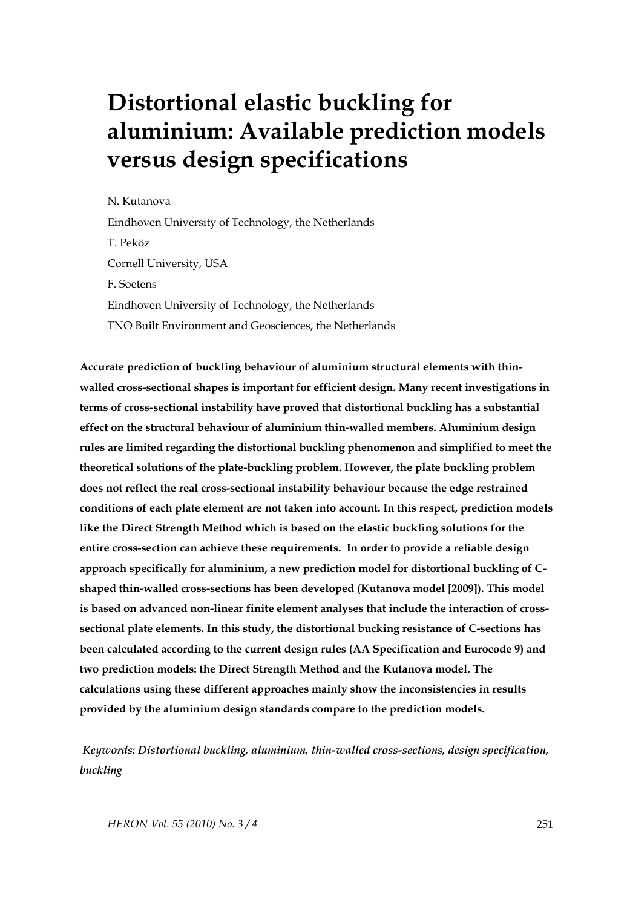# **Distortional elastic buckling for aluminium: Available prediction models versus design specifications**

N. Kutanova

Eindhoven University of Technology, the Netherlands T. Peköz Cornell University, USA F. Soetens

Eindhoven University of Technology, the Netherlands TNO Built Environment and Geosciences, the Netherlands

**Accurate prediction of buckling behaviour of aluminium structural elements with thinwalled cross-sectional shapes is important for efficient design. Many recent investigations in terms of cross-sectional instability have proved that distortional buckling has a substantial effect on the structural behaviour of aluminium thin-walled members. Aluminium design rules are limited regarding the distortional buckling phenomenon and simplified to meet the theoretical solutions of the plate-buckling problem. However, the plate buckling problem does not reflect the real cross-sectional instability behaviour because the edge restrained conditions of each plate element are not taken into account. In this respect, prediction models like the Direct Strength Method which is based on the elastic buckling solutions for the entire cross-section can achieve these requirements. In order to provide a reliable design approach specifically for aluminium, a new prediction model for distortional buckling of Cshaped thin-walled cross-sections has been developed (Kutanova model [2009]). This model is based on advanced non-linear finite element analyses that include the interaction of crosssectional plate elements. In this study, the distortional bucking resistance of C-sections has been calculated according to the current design rules (AA Specification and Eurocode 9) and two prediction models: the Direct Strength Method and the Kutanova model. The calculations using these different approaches mainly show the inconsistencies in results provided by the aluminium design standards compare to the prediction models.** 

 *Keywords: Distortional buckling, aluminium, thin-walled cross-sections, design specification, buckling*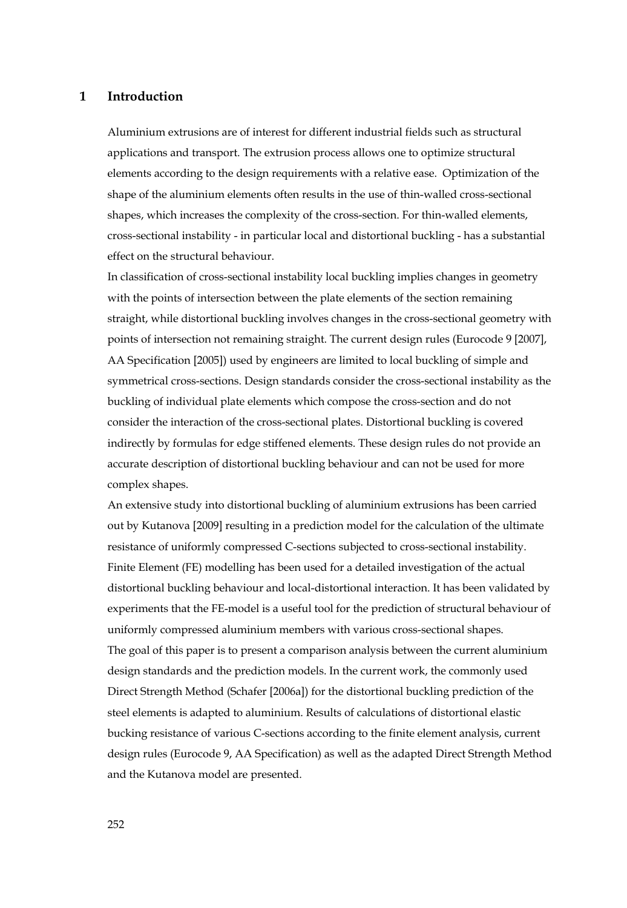## **1 Introduction**

Aluminium extrusions are of interest for different industrial fields such as structural applications and transport. The extrusion process allows one to optimize structural elements according to the design requirements with a relative ease. Optimization of the shape of the aluminium elements often results in the use of thin-walled cross-sectional shapes, which increases the complexity of the cross-section. For thin-walled elements, cross-sectional instability - in particular local and distortional buckling - has a substantial effect on the structural behaviour.

In classification of cross-sectional instability local buckling implies changes in geometry with the points of intersection between the plate elements of the section remaining straight, while distortional buckling involves changes in the cross-sectional geometry with points of intersection not remaining straight. The current design rules (Eurocode 9 [2007], AA Specification [2005]) used by engineers are limited to local buckling of simple and symmetrical cross-sections. Design standards consider the cross-sectional instability as the buckling of individual plate elements which compose the cross-section and do not consider the interaction of the cross-sectional plates. Distortional buckling is covered indirectly by formulas for edge stiffened elements. These design rules do not provide an accurate description of distortional buckling behaviour and can not be used for more complex shapes.

An extensive study into distortional buckling of aluminium extrusions has been carried out by Kutanova [2009] resulting in a prediction model for the calculation of the ultimate resistance of uniformly compressed C-sections subjected to cross-sectional instability. Finite Element (FE) modelling has been used for a detailed investigation of the actual distortional buckling behaviour and local-distortional interaction. It has been validated by experiments that the FE-model is a useful tool for the prediction of structural behaviour of uniformly compressed aluminium members with various cross-sectional shapes. The goal of this paper is to present a comparison analysis between the current aluminium design standards and the prediction models. In the current work, the commonly used Direct Strength Method (Schafer [2006a]) for the distortional buckling prediction of the steel elements is adapted to aluminium. Results of calculations of distortional elastic bucking resistance of various C-sections according to the finite element analysis, current design rules (Eurocode 9, AA Specification) as well as the adapted Direct Strength Method and the Kutanova model are presented.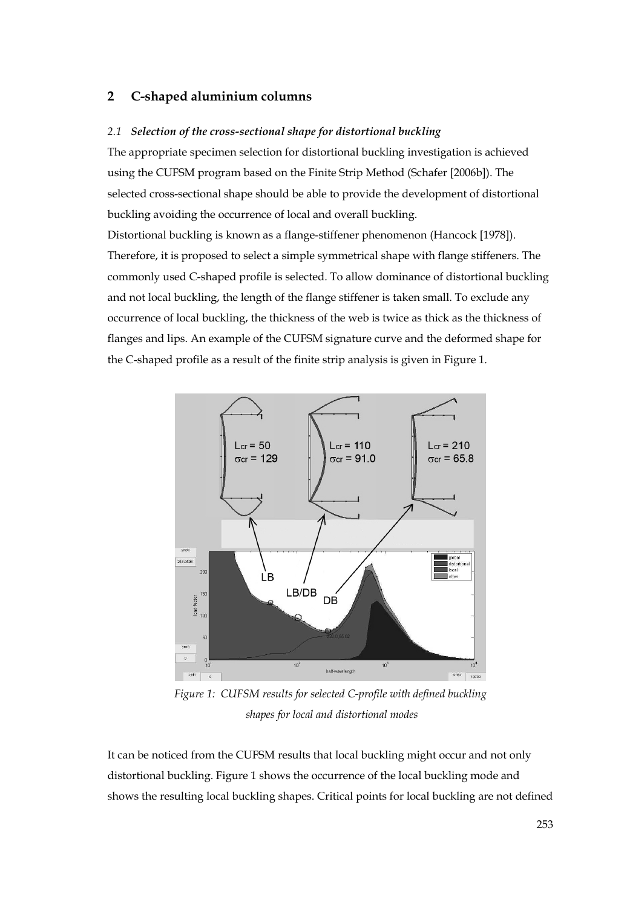## **2 C-shaped aluminium columns**

#### *2.1 Selection of the cross-sectional shape for distortional buckling*

The appropriate specimen selection for distortional buckling investigation is achieved using the CUFSM program based on the Finite Strip Method (Schafer [2006b]). The selected cross-sectional shape should be able to provide the development of distortional buckling avoiding the occurrence of local and overall buckling.

Distortional buckling is known as a flange-stiffener phenomenon (Hancock [1978]). Therefore, it is proposed to select a simple symmetrical shape with flange stiffeners. The commonly used C-shaped profile is selected. To allow dominance of distortional buckling and not local buckling, the length of the flange stiffener is taken small. To exclude any occurrence of local buckling, the thickness of the web is twice as thick as the thickness of flanges and lips. An example of the CUFSM signature curve and the deformed shape for the C-shaped profile as a result of the finite strip analysis is given in Figure 1.



*Figure 1: CUFSM results for selected C-profile with defined buckling shapes for local and distortional modes* 

It can be noticed from the CUFSM results that local buckling might occur and not only distortional buckling. Figure 1 shows the occurrence of the local buckling mode and shows the resulting local buckling shapes. Critical points for local buckling are not defined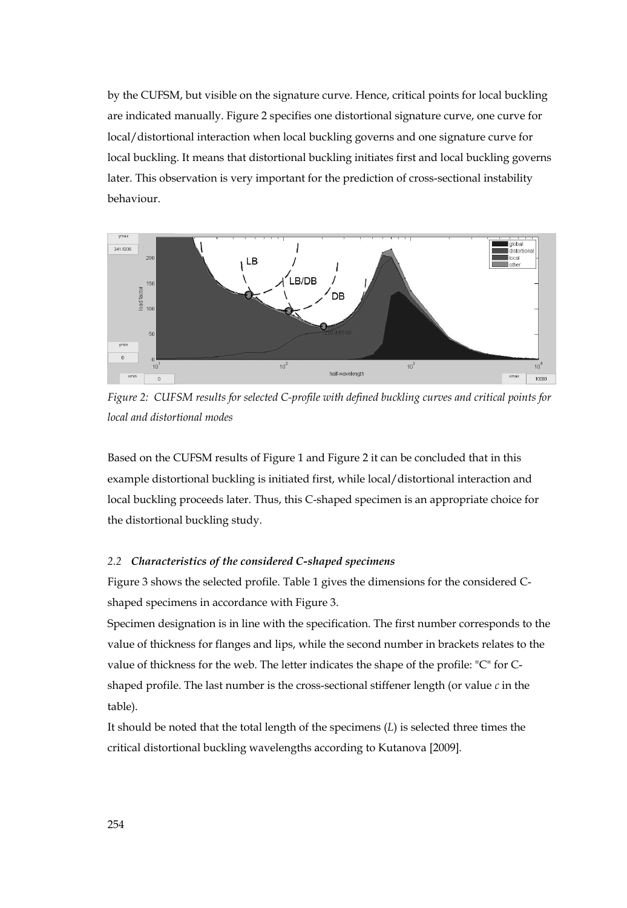by the CUFSM, but visible on the signature curve. Hence, critical points for local buckling are indicated manually. Figure 2 specifies one distortional signature curve, one curve for local/distortional interaction when local buckling governs and one signature curve for local buckling. It means that distortional buckling initiates first and local buckling governs later. This observation is very important for the prediction of cross-sectional instability behaviour.



*Figure 2: CUFSM results for selected C-profile with defined buckling curves and critical points for local and distortional modes* 

Based on the CUFSM results of Figure 1 and Figure 2 it can be concluded that in this example distortional buckling is initiated first, while local/distortional interaction and local buckling proceeds later. Thus, this C-shaped specimen is an appropriate choice for the distortional buckling study.

#### *2.2 Characteristics of the considered C-shaped specimens*

Figure 3 shows the selected profile. Table 1 gives the dimensions for the considered Cshaped specimens in accordance with Figure 3.

Specimen designation is in line with the specification. The first number corresponds to the value of thickness for flanges and lips, while the second number in brackets relates to the value of thickness for the web. The letter indicates the shape of the profile: "C" for Cshaped profile. The last number is the cross-sectional stiffener length (or value *c* in the table).

It should be noted that the total length of the specimens (*L*) is selected three times the critical distortional buckling wavelengths according to Kutanova [2009].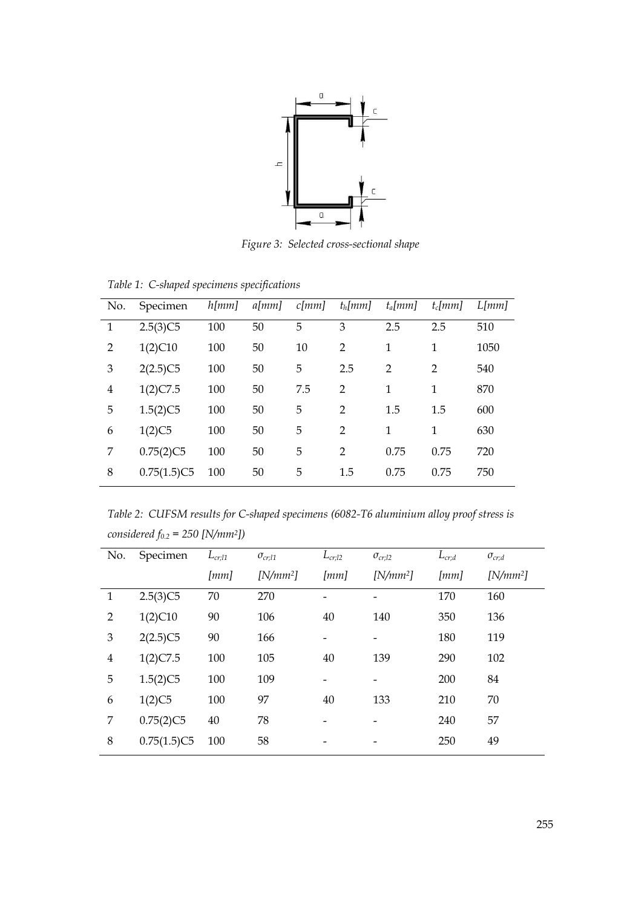

*Figure 3: Selected cross-sectional shape* 

| No.            | Specimen    | h[mm] | $a$ [mm] | $c$ [ <i>mm</i> ] | $t_h$ [mm]     | $t_a$ [mm]     | $t_c$ [ <i>mm</i> ] | L[mm] |
|----------------|-------------|-------|----------|-------------------|----------------|----------------|---------------------|-------|
| 1              | 2.5(3)C5    | 100   | 50       | 5                 | 3              | 2.5            | 2.5                 | 510   |
| $\overline{2}$ | 1(2)C10     | 100   | 50       | 10                | $\overline{2}$ | $\mathbf{1}$   | 1                   | 1050  |
| 3              | 2(2.5)C5    | 100   | 50       | 5                 | 2.5            | $\overline{2}$ | $\overline{2}$      | 540   |
| $\overline{4}$ | 1(2)C7.5    | 100   | 50       | 7.5               | $\overline{2}$ | $\mathbf{1}$   | 1                   | 870   |
| 5              | 1.5(2)C5    | 100   | 50       | 5                 | $\overline{2}$ | 1.5            | 1.5                 | 600   |
| 6              | 1(2)C5      | 100   | 50       | 5                 | $\overline{2}$ | $\mathbf{1}$   | 1                   | 630   |
| 7              | 0.75(2)C5   | 100   | 50       | 5                 | $\overline{2}$ | 0.75           | 0.75                | 720   |
| 8              | 0.75(1.5)C5 | 100   | 50       | 5                 | 1.5            | 0.75           | 0.75                | 750   |
|                |             |       |          |                   |                |                |                     |       |

*Table 1: C-shaped specimens specifications* 

*Table 2: CUFSM results for C-shaped specimens (6082-T6 aluminium alloy proof stress is considered f0.2 = 250 [N/mm2])* 

| No.            | Specimen    | $L_{cr;l1}$ | $\sigma_{cr,11}$ | $L_{cr;l2}$ | $\sigma_{cr;l2}$ | $L_{cr,d}$ | $\sigma_{cr;d}$ |
|----------------|-------------|-------------|------------------|-------------|------------------|------------|-----------------|
|                |             | [mm]        | $[N/mm^2]$       | [mm]        | $[N/mm^2]$       | [mm]       | $[N/mm^2]$      |
| $\mathbf{1}$   | 2.5(3)C5    | 70          | 270              |             |                  | 170        | 160             |
| $\overline{2}$ | 1(2)C10     | 90          | 106              | 40          | 140              | 350        | 136             |
| 3              | 2(2.5)C5    | 90          | 166              | -           | -                | 180        | 119             |
| $\overline{4}$ | 1(2)C7.5    | 100         | 105              | 40          | 139              | 290        | 102             |
| 5              | 1.5(2)C5    | 100         | 109              | -           | -                | 200        | 84              |
| 6              | 1(2)C5      | 100         | 97               | 40          | 133              | 210        | 70              |
| 7              | 0.75(2)C5   | 40          | 78               |             |                  | 240        | 57              |
| 8              | 0.75(1.5)C5 | 100         | 58               |             |                  | 250        | 49              |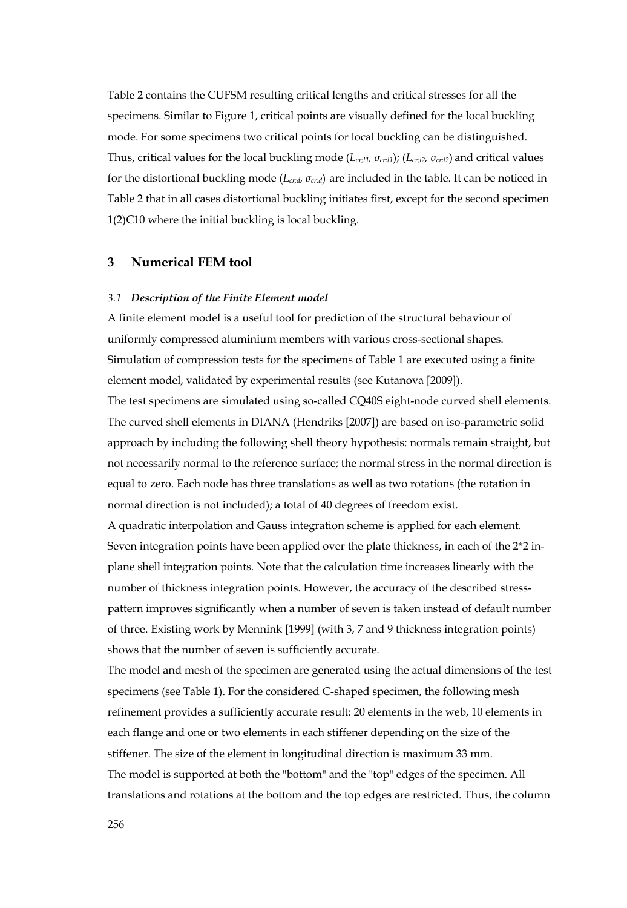Table 2 contains the CUFSM resulting critical lengths and critical stresses for all the specimens. Similar to Figure 1, critical points are visually defined for the local buckling mode. For some specimens two critical points for local buckling can be distinguished. Thus, critical values for the local buckling mode (*Lcr;l1, σcr;l1*); (*Lcr;l2, σcr;l2*) and critical values for the distortional buckling mode (*Lcr;d, σcr;d*) are included in the table. It can be noticed in Table 2 that in all cases distortional buckling initiates first, except for the second specimen 1(2)C10 where the initial buckling is local buckling.

# **3 Numerical FEM tool**

#### *3.1 Description of the Finite Element model*

A finite element model is a useful tool for prediction of the structural behaviour of uniformly compressed aluminium members with various cross-sectional shapes. Simulation of compression tests for the specimens of Table 1 are executed using a finite element model, validated by experimental results (see Kutanova [2009]).

The test specimens are simulated using so-called CQ40S eight-node curved shell elements. The curved shell elements in DIANA (Hendriks [2007]) are based on iso-parametric solid approach by including the following shell theory hypothesis: normals remain straight, but not necessarily normal to the reference surface; the normal stress in the normal direction is equal to zero. Each node has three translations as well as two rotations (the rotation in normal direction is not included); a total of 40 degrees of freedom exist.

A quadratic interpolation and Gauss integration scheme is applied for each element. Seven integration points have been applied over the plate thickness, in each of the 2\*2 inplane shell integration points. Note that the calculation time increases linearly with the number of thickness integration points. However, the accuracy of the described stresspattern improves significantly when a number of seven is taken instead of default number of three. Existing work by Mennink [1999] (with 3, 7 and 9 thickness integration points) shows that the number of seven is sufficiently accurate.

The model and mesh of the specimen are generated using the actual dimensions of the test specimens (see Table 1). For the considered C-shaped specimen, the following mesh refinement provides a sufficiently accurate result: 20 elements in the web, 10 elements in each flange and one or two elements in each stiffener depending on the size of the stiffener. The size of the element in longitudinal direction is maximum 33 mm. The model is supported at both the "bottom" and the "top" edges of the specimen. All translations and rotations at the bottom and the top edges are restricted. Thus, the column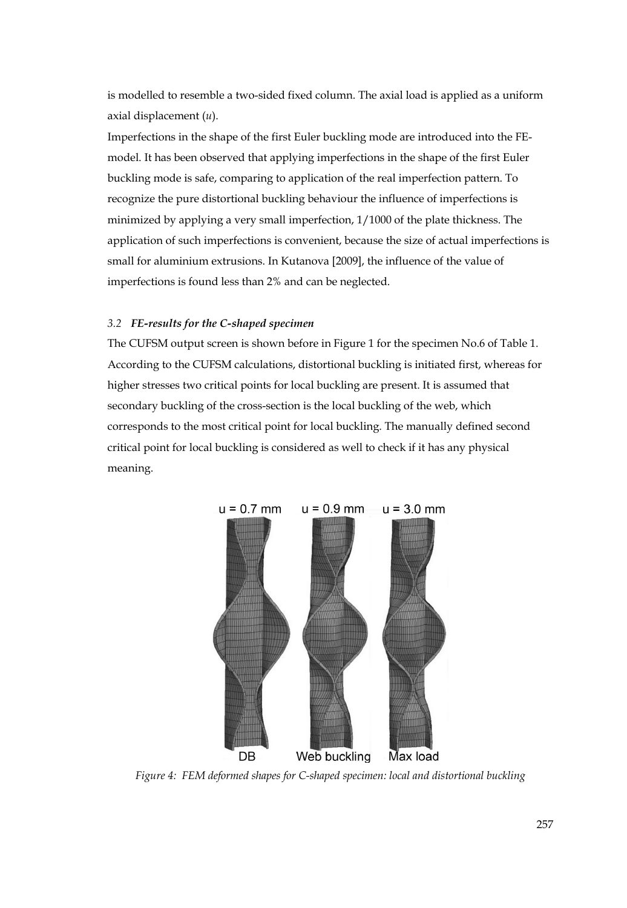is modelled to resemble a two-sided fixed column. The axial load is applied as a uniform axial displacement (*u*).

Imperfections in the shape of the first Euler buckling mode are introduced into the FEmodel. It has been observed that applying imperfections in the shape of the first Euler buckling mode is safe, comparing to application of the real imperfection pattern. To recognize the pure distortional buckling behaviour the influence of imperfections is minimized by applying a very small imperfection, 1/1000 of the plate thickness. The application of such imperfections is convenient, because the size of actual imperfections is small for aluminium extrusions. In Kutanova [2009], the influence of the value of imperfections is found less than 2% and can be neglected.

#### *3.2 FE-results for the C-shaped specimen*

The CUFSM output screen is shown before in Figure 1 for the specimen No.6 of Table 1. According to the CUFSM calculations, distortional buckling is initiated first, whereas for higher stresses two critical points for local buckling are present. It is assumed that secondary buckling of the cross-section is the local buckling of the web, which corresponds to the most critical point for local buckling. The manually defined second critical point for local buckling is considered as well to check if it has any physical meaning.



*Figure 4: FEM deformed shapes for C-shaped specimen: local and distortional buckling*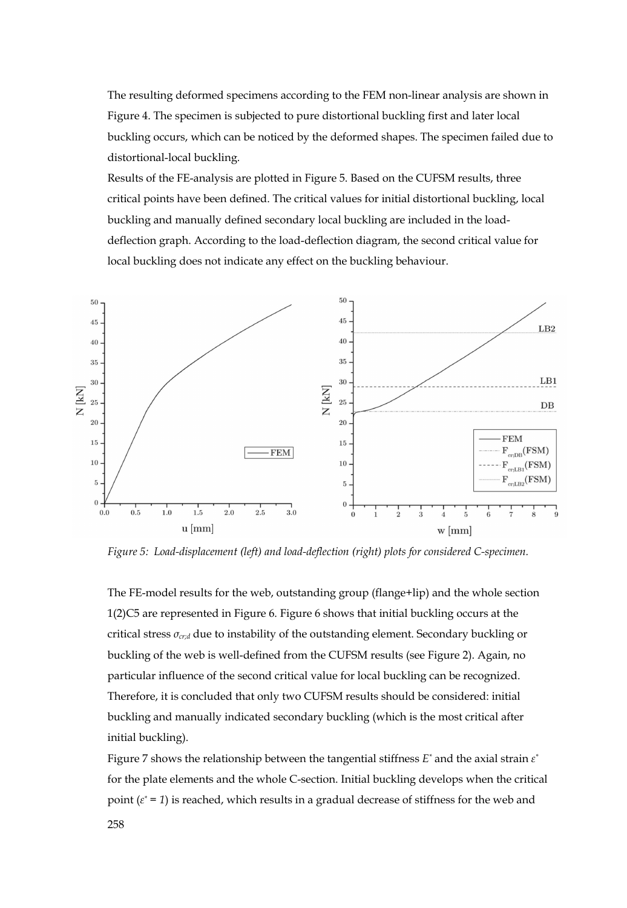The resulting deformed specimens according to the FEM non-linear analysis are shown in Figure 4. The specimen is subjected to pure distortional buckling first and later local buckling occurs, which can be noticed by the deformed shapes. The specimen failed due to distortional-local buckling.

Results of the FE-analysis are plotted in Figure 5. Based on the CUFSM results, three critical points have been defined. The critical values for initial distortional buckling, local buckling and manually defined secondary local buckling are included in the loaddeflection graph. According to the load-deflection diagram, the second critical value for local buckling does not indicate any effect on the buckling behaviour.



*Figure 5: Load-displacement (left) and load-deflection (right) plots for considered C-specimen.* 

The FE-model results for the web, outstanding group (flange+lip) and the whole section 1(2)C5 are represented in Figure 6. Figure 6 shows that initial buckling occurs at the critical stress *σcr;d* due to instability of the outstanding element. Secondary buckling or buckling of the web is well-defined from the CUFSM results (see Figure 2). Again, no particular influence of the second critical value for local buckling can be recognized. Therefore, it is concluded that only two CUFSM results should be considered: initial buckling and manually indicated secondary buckling (which is the most critical after initial buckling).

Figure 7 shows the relationship between the tangential stiffness *E\** and the axial strain *ε\** for the plate elements and the whole C-section. Initial buckling develops when the critical point (*ε\* = 1*) is reached, which results in a gradual decrease of stiffness for the web and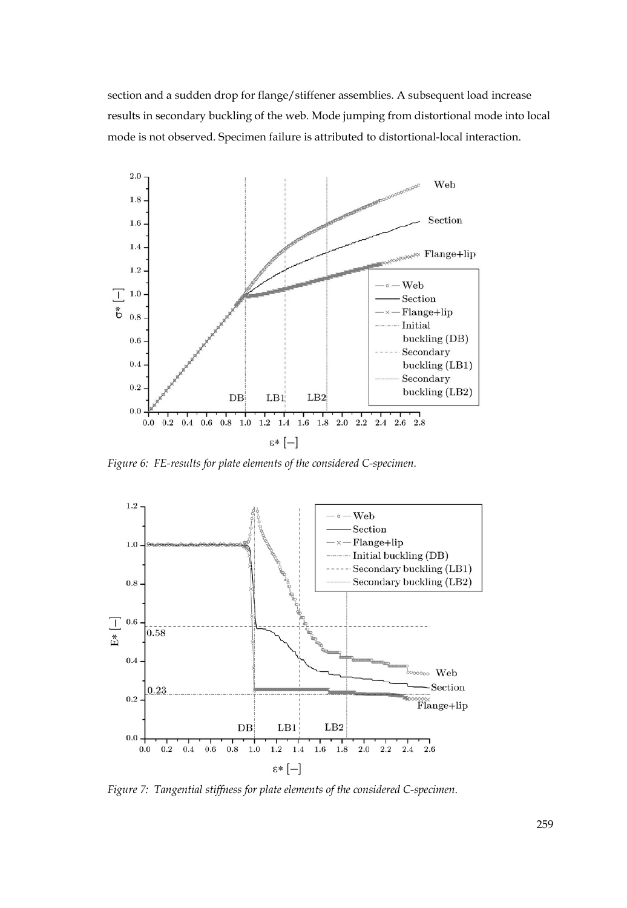section and a sudden drop for flange/stiffener assemblies. A subsequent load increase results in secondary buckling of the web. Mode jumping from distortional mode into local mode is not observed. Specimen failure is attributed to distortional-local interaction.



*Figure 6: FE-results for plate elements of the considered C-specimen.* 



*Figure 7: Tangential stiffness for plate elements of the considered C-specimen.*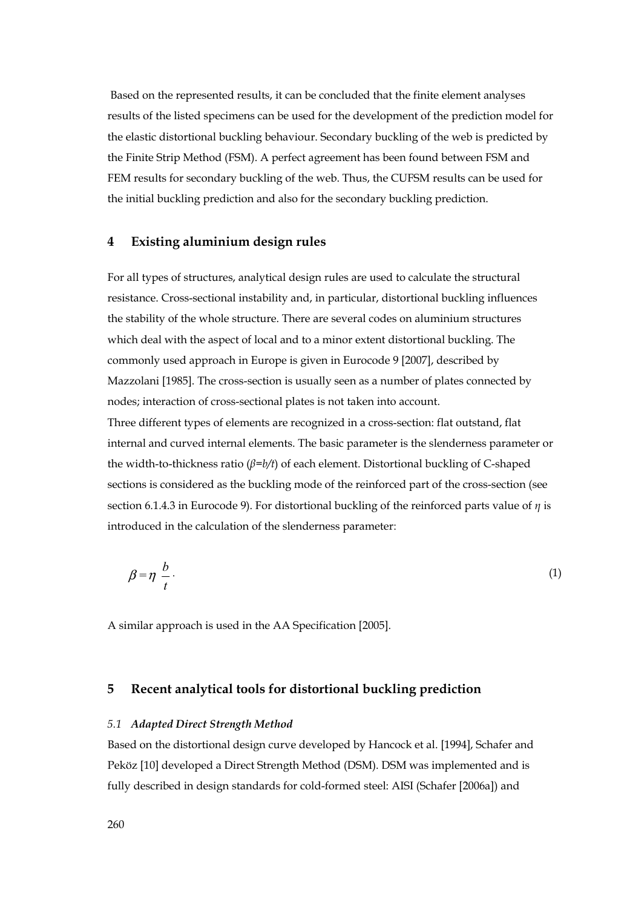Based on the represented results, it can be concluded that the finite element analyses results of the listed specimens can be used for the development of the prediction model for the elastic distortional buckling behaviour. Secondary buckling of the web is predicted by the Finite Strip Method (FSM). A perfect agreement has been found between FSM and FEM results for secondary buckling of the web. Thus, the CUFSM results can be used for the initial buckling prediction and also for the secondary buckling prediction.

#### **4 Existing aluminium design rules**

For all types of structures, analytical design rules are used to calculate the structural resistance. Cross-sectional instability and, in particular, distortional buckling influences the stability of the whole structure. There are several codes on aluminium structures which deal with the aspect of local and to a minor extent distortional buckling. The commonly used approach in Europe is given in Eurocode 9 [2007], described by Mazzolani [1985]. The cross-section is usually seen as a number of plates connected by nodes; interaction of cross-sectional plates is not taken into account.

Three different types of elements are recognized in a cross-section: flat outstand, flat internal and curved internal elements. The basic parameter is the slenderness parameter or the width-to-thickness ratio (*β=b/t*) of each element. Distortional buckling of C-shaped sections is considered as the buckling mode of the reinforced part of the cross-section (see section 6.1.4.3 in Eurocode 9). For distortional buckling of the reinforced parts value of *η* is introduced in the calculation of the slenderness parameter:

$$
\beta = \eta \frac{b}{t} \tag{1}
$$

A similar approach is used in the AA Specification [2005].

## **5 Recent analytical tools for distortional buckling prediction**

#### *5.1 Adapted Direct Strength Method*

Based on the distortional design curve developed by Hancock et al. [1994], Schafer and Peköz [10] developed a Direct Strength Method (DSM). DSM was implemented and is fully described in design standards for cold-formed steel: AISI (Schafer [2006a]) and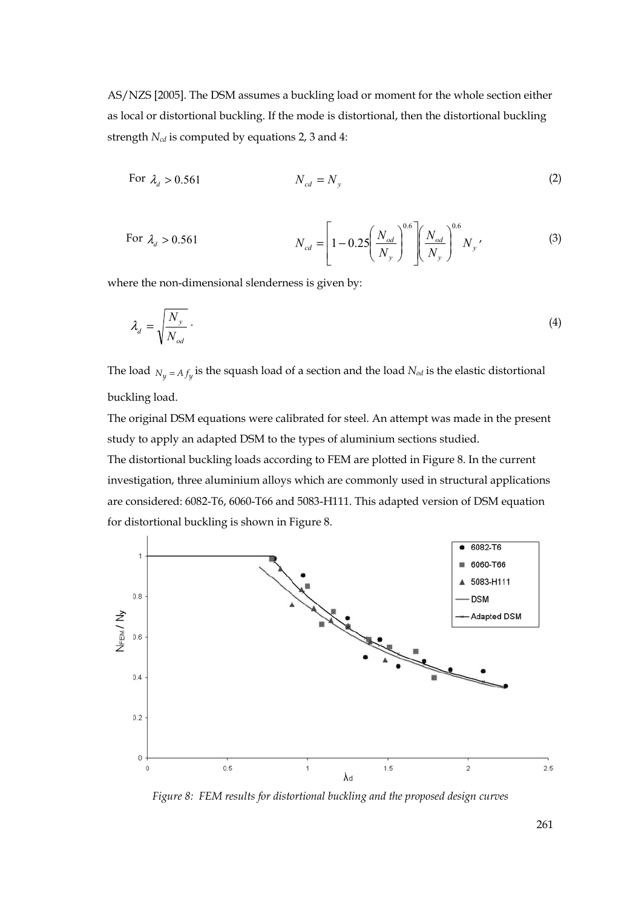AS/NZS [2005]. The DSM assumes a buckling load or moment for the whole section either as local or distortional buckling. If the mode is distortional, then the distortional buckling strength  $N_{cd}$  is computed by equations 2, 3 and 4:

For 
$$
\lambda_d > 0.561
$$
  $N_{cd} = N_{y}$   $(2)$ 

For 
$$
\lambda_d > 0.561
$$
 
$$
N_{cd} = \left[1 - 0.25 \left(\frac{N_{od}}{N_y}\right)^{0.6} \left(\frac{N_{od}}{N_y}\right)^{0.6} N_y \right] (3)
$$

where the non-dimensional slenderness is given by:

$$
\lambda_d = \sqrt{\frac{N_y}{N_{od}}} \,. \tag{4}
$$

The load  $N_y = A f_y$  is the squash load of a section and the load  $N_{od}$  is the elastic distortional buckling load.

The original DSM equations were calibrated for steel. An attempt was made in the present study to apply an adapted DSM to the types of aluminium sections studied.

The distortional buckling loads according to FEM are plotted in Figure 8. In the current investigation, three aluminium alloys which are commonly used in structural applications are considered: 6082-T6, 6060-T66 and 5083-H111. This adapted version of DSM equation for distortional buckling is shown in Figure 8.



*Figure 8: FEM results for distortional buckling and the proposed design curves*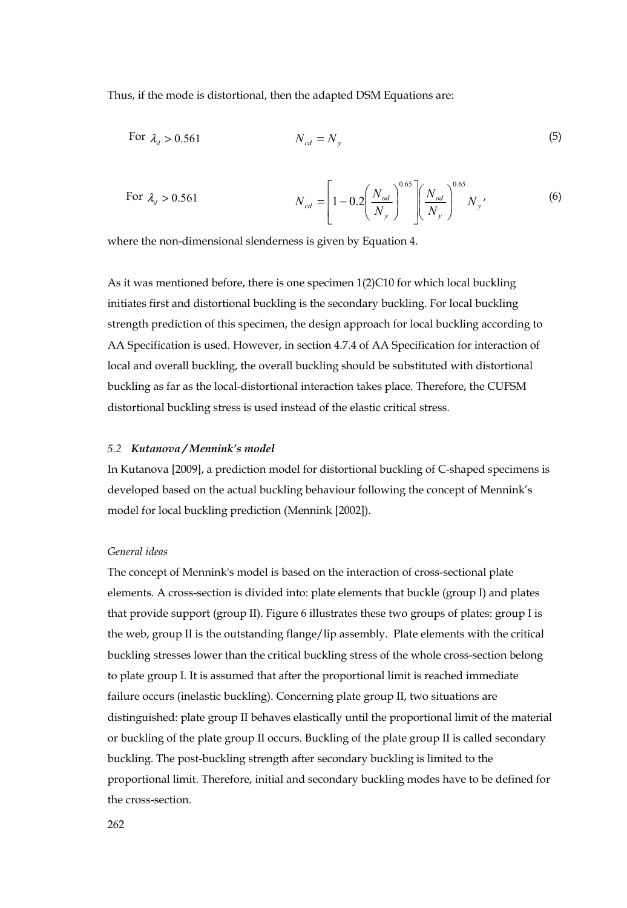Thus, if the mode is distortional, then the adapted DSM Equations are:

For 
$$
\lambda_d > 0.561
$$
  $N_{cd} = N_y$   $(5)$ 

For 
$$
\lambda_d > 0.561
$$
 
$$
N_{cd} = \left[1 - 0.2 \left(\frac{N_{od}}{N_y}\right)^{0.65} \left(\frac{N_{od}}{N_y}\right)^{0.65} N_y \right] (6)
$$

where the non-dimensional slenderness is given by Equation 4.

As it was mentioned before, there is one specimen 1(2)C10 for which local buckling initiates first and distortional buckling is the secondary buckling. For local buckling strength prediction of this specimen, the design approach for local buckling according to AA Specification is used. However, in section 4.7.4 of AA Specification for interaction of local and overall buckling, the overall buckling should be substituted with distortional buckling as far as the local-distortional interaction takes place. Therefore, the CUFSM distortional buckling stress is used instead of the elastic critical stress.

#### *5.2 Kutanova / Mennink's model*

In Kutanova [2009], a prediction model for distortional buckling of C-shaped specimens is developed based on the actual buckling behaviour following the concept of Mennink's model for local buckling prediction (Mennink [2002]).

#### *General ideas*

The concept of Mennink's model is based on the interaction of cross-sectional plate elements. A cross-section is divided into: plate elements that buckle (group I) and plates that provide support (group II). Figure 6 illustrates these two groups of plates: group I is the web, group II is the outstanding flange/lip assembly. Plate elements with the critical buckling stresses lower than the critical buckling stress of the whole cross-section belong to plate group I. It is assumed that after the proportional limit is reached immediate failure occurs (inelastic buckling). Concerning plate group II, two situations are distinguished: plate group II behaves elastically until the proportional limit of the material or buckling of the plate group II occurs. Buckling of the plate group II is called secondary buckling. The post-buckling strength after secondary buckling is limited to the proportional limit. Therefore, initial and secondary buckling modes have to be defined for the cross-section.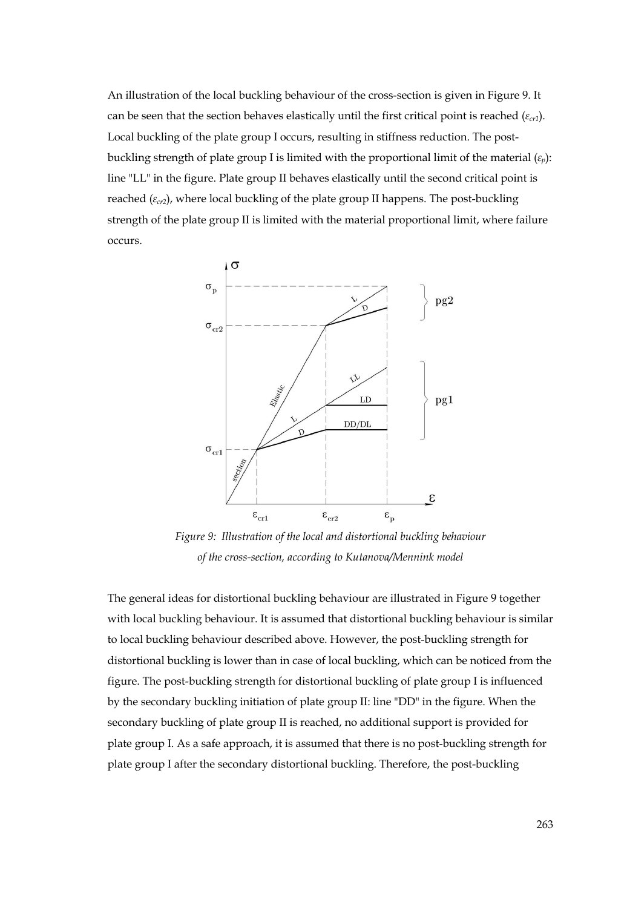An illustration of the local buckling behaviour of the cross-section is given in Figure 9. It can be seen that the section behaves elastically until the first critical point is reached (*εcr1*). Local buckling of the plate group I occurs, resulting in stiffness reduction. The postbuckling strength of plate group I is limited with the proportional limit of the material (*εp*): line "LL" in the figure. Plate group II behaves elastically until the second critical point is reached (*εcr2*), where local buckling of the plate group II happens. The post-buckling strength of the plate group II is limited with the material proportional limit, where failure occurs.



*Figure 9: Illustration of the local and distortional buckling behaviour of the cross-section, according to Kutanova/Mennink model*

The general ideas for distortional buckling behaviour are illustrated in Figure 9 together with local buckling behaviour. It is assumed that distortional buckling behaviour is similar to local buckling behaviour described above. However, the post-buckling strength for distortional buckling is lower than in case of local buckling, which can be noticed from the figure. The post-buckling strength for distortional buckling of plate group I is influenced by the secondary buckling initiation of plate group II: line "DD" in the figure. When the secondary buckling of plate group II is reached, no additional support is provided for plate group I. As a safe approach, it is assumed that there is no post-buckling strength for plate group I after the secondary distortional buckling. Therefore, the post-buckling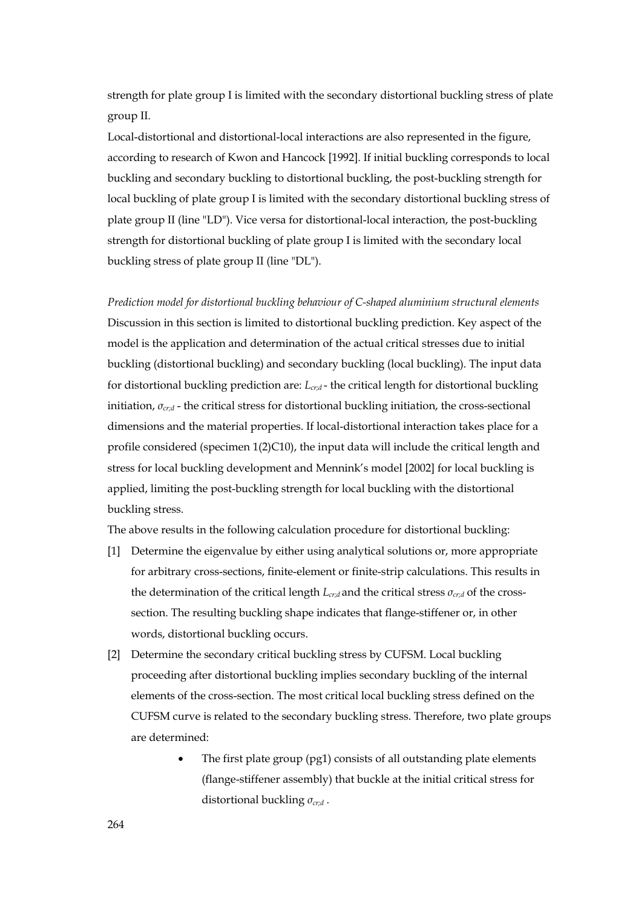strength for plate group I is limited with the secondary distortional buckling stress of plate group II.

Local-distortional and distortional-local interactions are also represented in the figure, according to research of Kwon and Hancock [1992]. If initial buckling corresponds to local buckling and secondary buckling to distortional buckling, the post-buckling strength for local buckling of plate group I is limited with the secondary distortional buckling stress of plate group II (line "LD"). Vice versa for distortional-local interaction, the post-buckling strength for distortional buckling of plate group I is limited with the secondary local buckling stress of plate group II (line "DL").

*Prediction model for distortional buckling behaviour of C-shaped aluminium structural elements*  Discussion in this section is limited to distortional buckling prediction. Key aspect of the model is the application and determination of the actual critical stresses due to initial buckling (distortional buckling) and secondary buckling (local buckling). The input data for distortional buckling prediction are: *Lcr;d* - the critical length for distortional buckling initiation, *σcr;d* - the critical stress for distortional buckling initiation, the cross-sectional dimensions and the material properties. If local-distortional interaction takes place for a profile considered (specimen 1(2)C10), the input data will include the critical length and stress for local buckling development and Mennink's model [2002] for local buckling is applied, limiting the post-buckling strength for local buckling with the distortional buckling stress.

The above results in the following calculation procedure for distortional buckling:

- [1] Determine the eigenvalue by either using analytical solutions or, more appropriate for arbitrary cross-sections, finite-element or finite-strip calculations. This results in the determination of the critical length *Lcr;d* and the critical stress *σcr;d* of the crosssection. The resulting buckling shape indicates that flange-stiffener or, in other words, distortional buckling occurs.
- [2] Determine the secondary critical buckling stress by CUFSM. Local buckling proceeding after distortional buckling implies secondary buckling of the internal elements of the cross-section. The most critical local buckling stress defined on the CUFSM curve is related to the secondary buckling stress. Therefore, two plate groups are determined:
	- The first plate group (pg1) consists of all outstanding plate elements (flange-stiffener assembly) that buckle at the initial critical stress for distortional buckling *σcr;d* .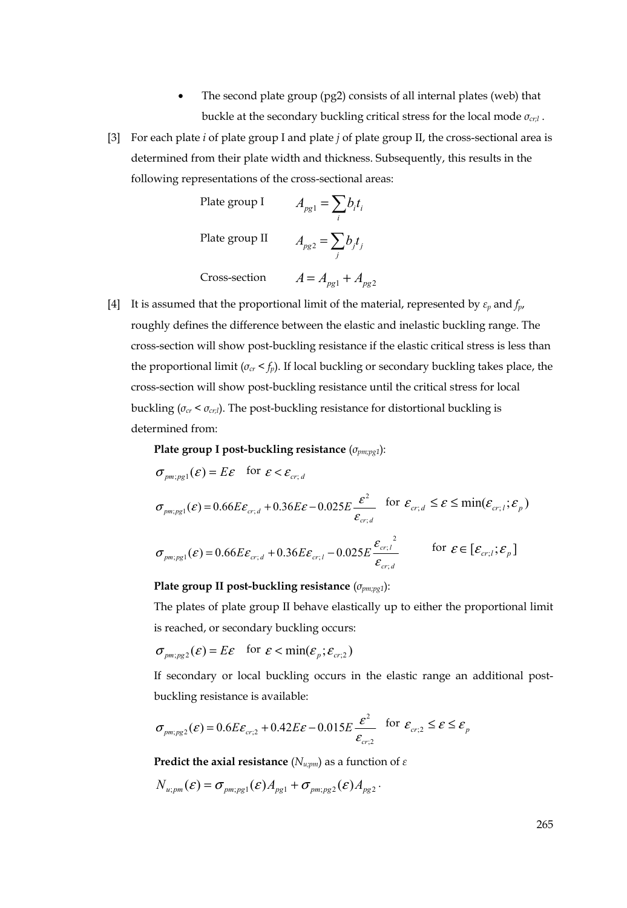- The second plate group (pg2) consists of all internal plates (web) that buckle at the secondary buckling critical stress for the local mode *σcr;l* .
- [3] For each plate *i* of plate group I and plate *j* of plate group II, the cross-sectional area is determined from their plate width and thickness. Subsequently, this results in the following representations of the cross-sectional areas:

Plate group I  $A_{pg1} = \sum_i b_i t_i$ Plate group II  $A_{pg2} = \sum_j b_j t_j$ 

Cross-section  $A = A_{pg1} + A_{pg2}$ [4] It is assumed that the proportional limit of the material, represented by *εp* and *fp*, roughly defines the difference between the elastic and inelastic buckling range. The cross-section will show post-buckling resistance if the elastic critical stress is less than the proportional limit  $(\sigma_{cr} < f_p)$ . If local buckling or secondary buckling takes place, the cross-section will show post-buckling resistance until the critical stress for local buckling (*σcr* < *σcr;l*). The post-buckling resistance for distortional buckling is

determined from:

 **Plate group I post-buckling resistance** (*σpm;pg1*):

$$
\sigma_{pm;pg1}(\varepsilon) = E\varepsilon \quad \text{for } \varepsilon < \varepsilon_{cr,d}
$$
\n
$$
\sigma_{pm;pg1}(\varepsilon) = 0.66E\varepsilon_{cr,d} + 0.36E\varepsilon - 0.025E\frac{\varepsilon^2}{\varepsilon_{cr,d}} \quad \text{for } \varepsilon_{cr,d} \le \varepsilon \le \min(\varepsilon_{cr,l}; \varepsilon_p)
$$
\n
$$
\sigma_{pm;pg1}(\varepsilon) = 0.66E\varepsilon_{cr,d} + 0.36E\varepsilon_{cr,l} - 0.025E\frac{\varepsilon_{cr,l}^2}{\varepsilon_{cr,d}} \quad \text{for } \varepsilon \in [\varepsilon_{cr,l}; \varepsilon_p]
$$

 **Plate group II post-buckling resistance** (*σpm;pg1*):

 The plates of plate group II behave elastically up to either the proportional limit is reached, or secondary buckling occurs:

$$
\sigma_{pm,pg2}(\varepsilon) = E\varepsilon \quad \text{for } \varepsilon < \min(\varepsilon_p; \varepsilon_{cr,2})
$$

 If secondary or local buckling occurs in the elastic range an additional post buckling resistance is available:

$$
\sigma_{p m; p g 2}(\varepsilon) = 0.6 E \varepsilon_{cr;2} + 0.42 E \varepsilon - 0.015 E \frac{\varepsilon^2}{\varepsilon_{cr;2}} \quad \text{for } \varepsilon_{cr;2} \le \varepsilon \le \varepsilon_p
$$

 **Predict the axial resistance** ( $N_{u;pm}$ ) as a function of  $\varepsilon$ 

$$
N_{u;pm}(\varepsilon)=\sigma_{pm;pg1}(\varepsilon)A_{pg1}+\sigma_{pm;pg2}(\varepsilon)A_{pg2}.
$$

265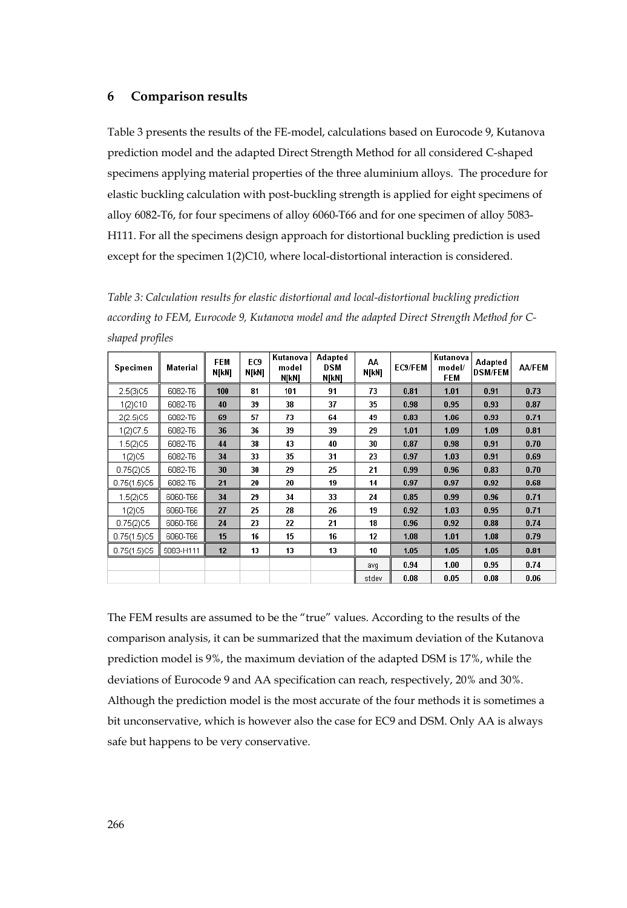#### **6 Comparison results**

Table 3 presents the results of the FE-model, calculations based on Eurocode 9, Kutanova prediction model and the adapted Direct Strength Method for all considered C-shaped specimens applying material properties of the three aluminium alloys. The procedure for elastic buckling calculation with post-buckling strength is applied for eight specimens of alloy 6082-T6, for four specimens of alloy 6060-T66 and for one specimen of alloy 5083- H111. For all the specimens design approach for distortional buckling prediction is used except for the specimen 1(2)C10, where local-distortional interaction is considered.

*Table 3: Calculation results for elastic distortional and local-distortional buckling prediction according to FEM, Eurocode 9, Kutanova model and the adapted Direct Strength Method for Cshaped profiles* 

| Specimen    | Material  | <b>FEM</b><br>N[kN] | EC <sub>9</sub><br>N[kN] | Kutanova<br>model<br>N[kN] | Adapted<br>DSM<br>N[kN] | AA<br>N[kN] | EC9/FEM | Kutanova<br>model/<br><b>FEM</b> | Adapted<br><b>DSM/FEM</b> | <b>AA/FEM</b> |
|-------------|-----------|---------------------|--------------------------|----------------------------|-------------------------|-------------|---------|----------------------------------|---------------------------|---------------|
| 2.5(3)C5    | 6082-T6   | 100                 | 81                       | 101                        | 91                      | 73          | 0.81    | 1.01                             | 0.91                      | 0.73          |
| 1(2)C10     | 6082-T6   | 40                  | 39                       | 38                         | 37                      | 35          | 0.98    | 0.95                             | 0.93                      | 0.87          |
| 2(2.5)C5    | 6082-T6   | 69                  | 57                       | 73                         | 64                      | 49          | 0.83    | 1.06                             | 0.93                      | 0.71          |
| 1(2)C7.5    | 6082-T6   | 36                  | 36                       | 39                         | 39                      | 29          | 1.01    | 1.09                             | 1.09                      | 0.81          |
| 1.5(2)C5    | 6082-T6   | 44                  | 38                       | 43                         | 40                      | 30          | 0.87    | 0.98                             | 0.91                      | 0.70          |
| 1(2) C5     | 6082-T6   | 34                  | 33                       | 35                         | 31                      | 23          | 0.97    | 1.03                             | 0.91                      | 0.69          |
| 0.75(2)C5   | 6082-T6   | 30                  | 30                       | 29                         | 25                      | 21          | 0.99    | 0.96                             | 0.83                      | 0.70          |
| 0.75(1.5)C5 | 6082-T6   | 21                  | 20                       | 20                         | 19                      | 14          | 0.97    | 0.97                             | 0.92                      | 0.68          |
| 1.5(2)C5    | 6060-T66  | 34                  | 29                       | 34                         | 33                      | 24          | 0.85    | 0.99                             | 0.96                      | 0.71          |
| 1(2) C5     | 6060-T66  | 27                  | 25                       | 28                         | 26                      | 19          | 0.92    | 1.03                             | 0.95                      | 0.71          |
| 0.75(2)C5   | 6060-T66  | 24                  | 23                       | 22                         | 21                      | 18          | 0.96    | 0.92                             | 0.88                      | 0.74          |
| 0.75(1.5)C5 | 6060-T66  | 15                  | 16                       | 15                         | 16                      | 12          | 1.08    | 1.01                             | 1.08                      | 0.79          |
| 0.75(1.5)C5 | 5083-H111 | 12                  | 13                       | 13                         | 13                      | 10          | 1.05    | 1.05                             | 1.05                      | 0.81          |
|             |           |                     |                          |                            |                         | avg         | 0.94    | 1.00                             | 0.95                      | 0.74          |
|             |           |                     |                          |                            |                         | stdev       | 0.08    | 0.05                             | 0.08                      | 0.06          |

The FEM results are assumed to be the "true" values. According to the results of the comparison analysis, it can be summarized that the maximum deviation of the Kutanova prediction model is 9%, the maximum deviation of the adapted DSM is 17%, while the deviations of Eurocode 9 and AA specification can reach, respectively, 20% and 30%. Although the prediction model is the most accurate of the four methods it is sometimes a bit unconservative, which is however also the case for EC9 and DSM. Only AA is always safe but happens to be very conservative.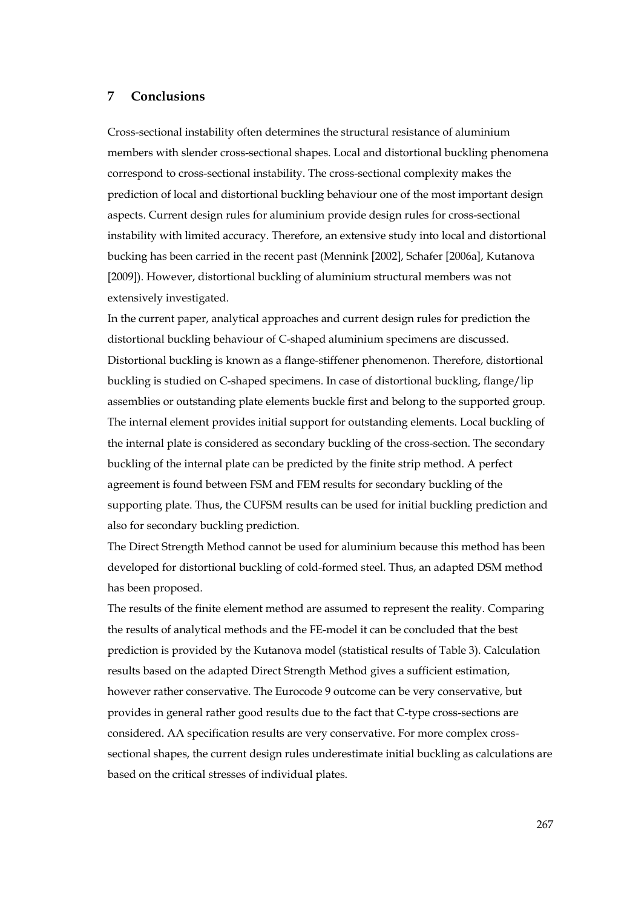## **7 Conclusions**

Cross-sectional instability often determines the structural resistance of aluminium members with slender cross-sectional shapes. Local and distortional buckling phenomena correspond to cross-sectional instability. The cross-sectional complexity makes the prediction of local and distortional buckling behaviour one of the most important design aspects. Current design rules for aluminium provide design rules for cross-sectional instability with limited accuracy. Therefore, an extensive study into local and distortional bucking has been carried in the recent past (Mennink [2002], Schafer [2006a], Kutanova [2009]). However, distortional buckling of aluminium structural members was not extensively investigated.

In the current paper, analytical approaches and current design rules for prediction the distortional buckling behaviour of C-shaped aluminium specimens are discussed. Distortional buckling is known as a flange-stiffener phenomenon. Therefore, distortional buckling is studied on C-shaped specimens. In case of distortional buckling, flange/lip assemblies or outstanding plate elements buckle first and belong to the supported group. The internal element provides initial support for outstanding elements. Local buckling of the internal plate is considered as secondary buckling of the cross-section. The secondary buckling of the internal plate can be predicted by the finite strip method. A perfect agreement is found between FSM and FEM results for secondary buckling of the supporting plate. Thus, the CUFSM results can be used for initial buckling prediction and also for secondary buckling prediction.

The Direct Strength Method cannot be used for aluminium because this method has been developed for distortional buckling of cold-formed steel. Thus, an adapted DSM method has been proposed.

The results of the finite element method are assumed to represent the reality. Comparing the results of analytical methods and the FE-model it can be concluded that the best prediction is provided by the Kutanova model (statistical results of Table 3). Calculation results based on the adapted Direct Strength Method gives a sufficient estimation, however rather conservative. The Eurocode 9 outcome can be very conservative, but provides in general rather good results due to the fact that C-type cross-sections are considered. AA specification results are very conservative. For more complex crosssectional shapes, the current design rules underestimate initial buckling as calculations are based on the critical stresses of individual plates.